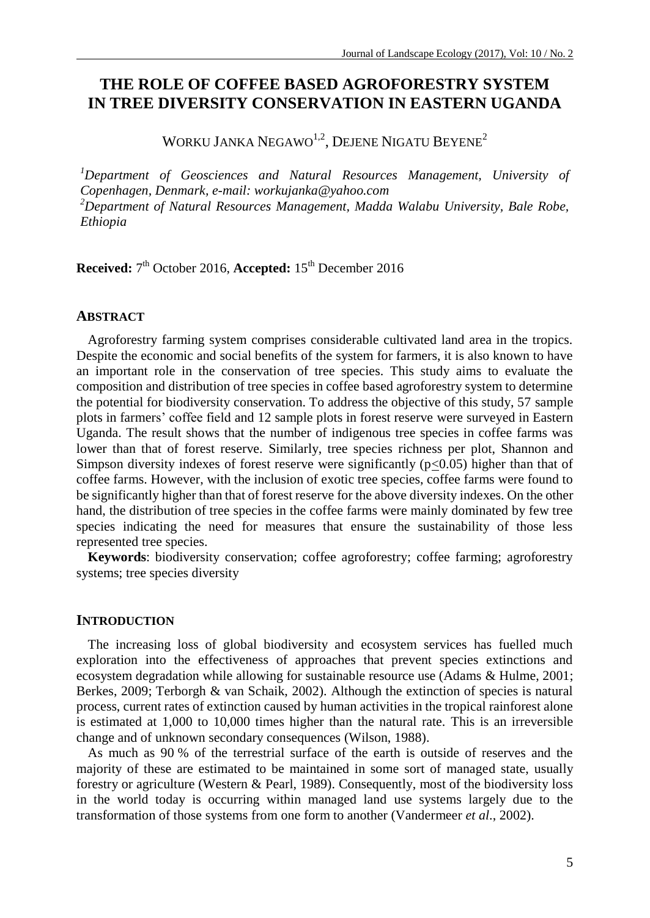# **THE ROLE OF COFFEE BASED AGROFORESTRY SYSTEM IN TREE DIVERSITY CONSERVATION IN EASTERN UGANDA**

WORKU JANKA  ${\rm NEGAWO}^{1,2}$ , Dejene Nigatu Beyene $^2$ 

*<sup>1</sup>Department of Geosciences and Natural Resources Management, University of Copenhagen, Denmark, e-mail[: workujanka@yahoo.com](mailto:workujanka@yahoo.com) <sup>2</sup>Department of Natural Resources Management, Madda Walabu University, Bale Robe, Ethiopia*

**Received:**  $7<sup>th</sup>$  October 2016, **Accepted:** 15<sup>th</sup> December 2016

## **ABSTRACT**

Agroforestry farming system comprises considerable cultivated land area in the tropics. Despite the economic and social benefits of the system for farmers, it is also known to have an important role in the conservation of tree species. This study aims to evaluate the composition and distribution of tree species in coffee based agroforestry system to determine the potential for biodiversity conservation. To address the objective of this study, 57 sample plots in farmers' coffee field and 12 sample plots in forest reserve were surveyed in Eastern Uganda. The result shows that the number of indigenous tree species in coffee farms was lower than that of forest reserve. Similarly, tree species richness per plot, Shannon and Simpson diversity indexes of forest reserve were significantly  $(p<0.05)$  higher than that of coffee farms. However, with the inclusion of exotic tree species, coffee farms were found to be significantly higher than that of forest reserve for the above diversity indexes. On the other hand, the distribution of tree species in the coffee farms were mainly dominated by few tree species indicating the need for measures that ensure the sustainability of those less represented tree species.

**Keywords**: biodiversity conservation; coffee agroforestry; coffee farming; agroforestry systems; tree species diversity

### **INTRODUCTION**

The increasing loss of global biodiversity and ecosystem services has fuelled much exploration into the effectiveness of approaches that prevent species extinctions and ecosystem degradation while allowing for sustainable resource use (Adams & Hulme, 2001; Berkes, 2009; Terborgh & van Schaik, 2002). Although the extinction of species is natural process, current rates of extinction caused by human activities in the tropical rainforest alone is estimated at 1,000 to 10,000 times higher than the natural rate. This is an irreversible change and of unknown secondary consequences (Wilson, 1988).

As much as 90 % of the terrestrial surface of the earth is outside of reserves and the majority of these are estimated to be maintained in some sort of managed state, usually forestry or agriculture (Western & Pearl, 1989). Consequently, most of the biodiversity loss in the world today is occurring within managed land use systems largely due to the transformation of those systems from one form to another (Vandermeer *et al*., 2002).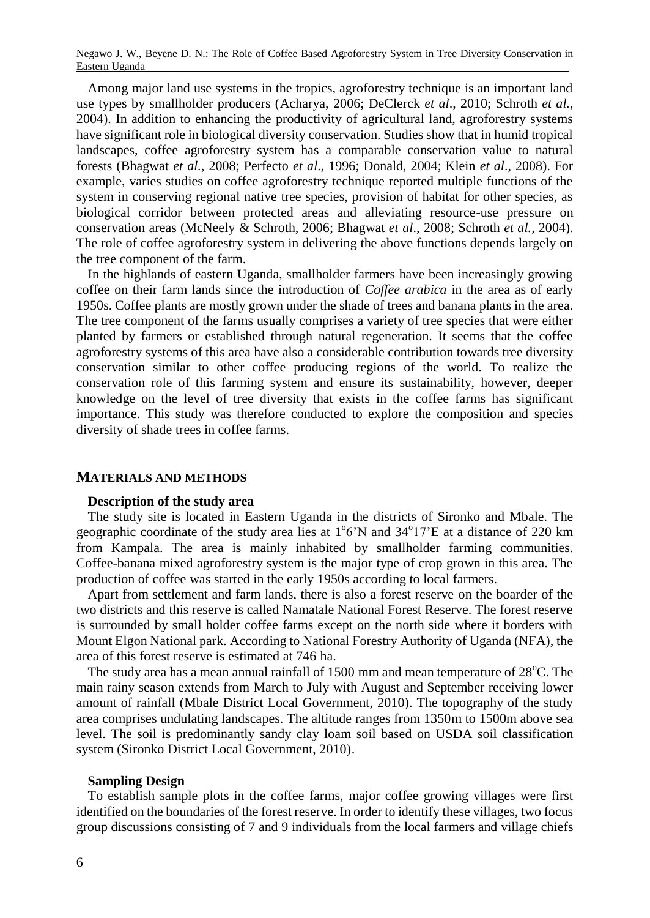Among major land use systems in the tropics, agroforestry technique is an important land use types by smallholder producers (Acharya, 2006; DeClerck *et al*., 2010; Schroth *et al.,* 2004). In addition to enhancing the productivity of agricultural land, agroforestry systems have significant role in biological diversity conservation. Studies show that in humid tropical landscapes, coffee agroforestry system has a comparable conservation value to natural forests (Bhagwat *et al.*, 2008; Perfecto *et al*., 1996; Donald, 2004; Klein *et al*., 2008). For example, varies studies on coffee agroforestry technique reported multiple functions of the system in conserving regional native tree species, provision of habitat for other species, as biological corridor between protected areas and alleviating resource-use pressure on conservation areas (McNeely & Schroth, 2006; Bhagwat *et al*., 2008; Schroth *et al.,* 2004). The role of coffee agroforestry system in delivering the above functions depends largely on the tree component of the farm.

In the highlands of eastern Uganda, smallholder farmers have been increasingly growing coffee on their farm lands since the introduction of *Coffee arabica* in the area as of early 1950s. Coffee plants are mostly grown under the shade of trees and banana plants in the area. The tree component of the farms usually comprises a variety of tree species that were either planted by farmers or established through natural regeneration. It seems that the coffee agroforestry systems of this area have also a considerable contribution towards tree diversity conservation similar to other coffee producing regions of the world. To realize the conservation role of this farming system and ensure its sustainability, however, deeper knowledge on the level of tree diversity that exists in the coffee farms has significant importance. This study was therefore conducted to explore the composition and species diversity of shade trees in coffee farms.

### **MATERIALS AND METHODS**

#### **Description of the study area**

The study site is located in Eastern Uganda in the districts of Sironko and Mbale. The geographic coordinate of the study area lies at  $1^{\circ}6'N$  and  $34^{\circ}17'E$  at a distance of 220 km from Kampala. The area is mainly inhabited by smallholder farming communities. Coffee-banana mixed agroforestry system is the major type of crop grown in this area. The production of coffee was started in the early 1950s according to local farmers.

Apart from settlement and farm lands, there is also a forest reserve on the boarder of the two districts and this reserve is called Namatale National Forest Reserve. The forest reserve is surrounded by small holder coffee farms except on the north side where it borders with Mount Elgon National park. According to National Forestry Authority of Uganda (NFA), the area of this forest reserve is estimated at 746 ha.

The study area has a mean annual rainfall of  $1500 \text{ mm}$  and mean temperature of  $28^{\circ}\text{C}$ . The main rainy season extends from March to July with August and September receiving lower amount of rainfall (Mbale District Local Government, 2010). The topography of the study area comprises undulating landscapes. The altitude ranges from 1350m to 1500m above sea level. The soil is predominantly sandy clay loam soil based on USDA soil classification system (Sironko District Local Government, 2010).

#### **Sampling Design**

To establish sample plots in the coffee farms, major coffee growing villages were first identified on the boundaries of the forest reserve. In order to identify these villages, two focus group discussions consisting of 7 and 9 individuals from the local farmers and village chiefs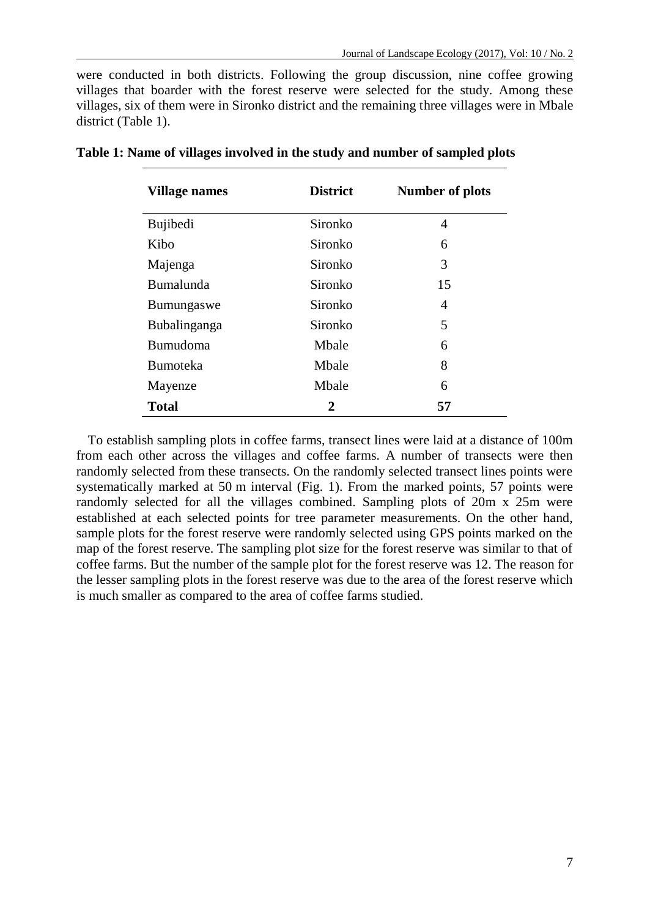were conducted in both districts. Following the group discussion, nine coffee growing villages that boarder with the forest reserve were selected for the study. Among these villages, six of them were in Sironko district and the remaining three villages were in Mbale district (Table 1).

| <b>Village names</b> | <b>District</b> | Number of plots |
|----------------------|-----------------|-----------------|
| <b>Bujibedi</b>      | Sironko         | 4               |
| Kibo                 | Sironko         | 6               |
| Majenga              | Sironko         | 3               |
| <b>Bumalunda</b>     | Sironko         | 15              |
| <b>Bumungaswe</b>    | Sironko         | 4               |
| Bubalinganga         | Sironko         | 5               |
| <b>Bumudoma</b>      | Mbale           | 6               |
| <b>Bumoteka</b>      | Mbale           | 8               |
| Mayenze              | Mbale           | 6               |
| <b>Total</b>         | 2               | 57              |

**Table 1: Name of villages involved in the study and number of sampled plots**

To establish sampling plots in coffee farms, transect lines were laid at a distance of 100m from each other across the villages and coffee farms. A number of transects were then randomly selected from these transects. On the randomly selected transect lines points were systematically marked at 50 m interval (Fig. 1). From the marked points, 57 points were randomly selected for all the villages combined. Sampling plots of 20m x 25m were established at each selected points for tree parameter measurements. On the other hand, sample plots for the forest reserve were randomly selected using GPS points marked on the map of the forest reserve. The sampling plot size for the forest reserve was similar to that of coffee farms. But the number of the sample plot for the forest reserve was 12. The reason for the lesser sampling plots in the forest reserve was due to the area of the forest reserve which is much smaller as compared to the area of coffee farms studied.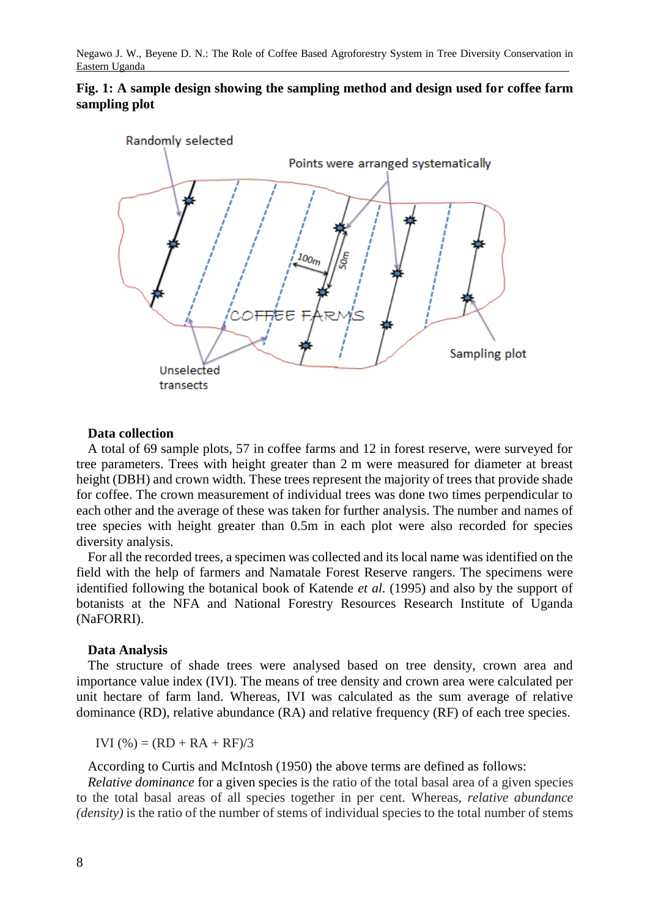



### **Data collection**

A total of 69 sample plots, 57 in coffee farms and 12 in forest reserve, were surveyed for tree parameters. Trees with height greater than 2 m were measured for diameter at breast height (DBH) and crown width. These trees represent the majority of trees that provide shade for coffee. The crown measurement of individual trees was done two times perpendicular to each other and the average of these was taken for further analysis. The number and names of tree species with height greater than 0.5m in each plot were also recorded for species diversity analysis.

For all the recorded trees, a specimen was collected and its local name was identified on the field with the help of farmers and Namatale Forest Reserve rangers. The specimens were identified following the botanical book of Katende *et al.* (1995) and also by the support of botanists at the NFA and National Forestry Resources Research Institute of Uganda (NaFORRI).

### **Data Analysis**

The structure of shade trees were analysed based on tree density, crown area and importance value index (IVI). The means of tree density and crown area were calculated per unit hectare of farm land. Whereas, IVI was calculated as the sum average of relative dominance (RD), relative abundance (RA) and relative frequency (RF) of each tree species.

IVI  $(\% ) = (RD + RA + RF)/3$ 

According to Curtis and McIntosh (1950) the above terms are defined as follows:

*Relative dominance* for a given species is the ratio of the total basal area of a given species to the total basal areas of all species together in per cent. Whereas, *relative abundance (density)* is the ratio of the number of stems of individual species to the total number of stems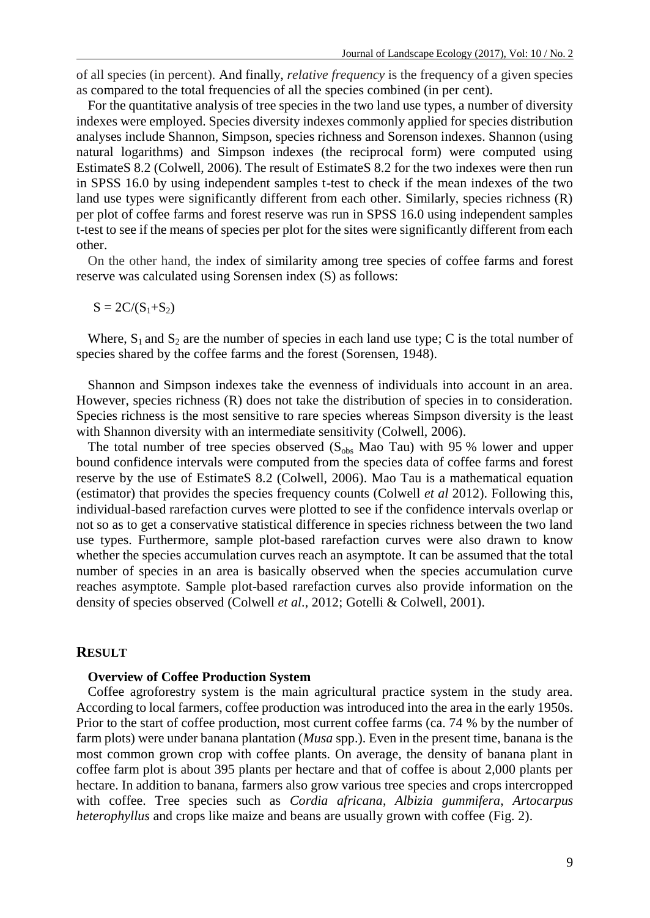of all species (in percent). And finally, *relative frequency* is the frequency of a given species as compared to the total frequencies of all the species combined (in per cent).

For the quantitative analysis of tree species in the two land use types, a number of diversity indexes were employed. Species diversity indexes commonly applied for species distribution analyses include Shannon, Simpson, species richness and Sorenson indexes. Shannon (using natural logarithms) and Simpson indexes (the reciprocal form) were computed using EstimateS 8.2 (Colwell, 2006). The result of EstimateS 8.2 for the two indexes were then run in SPSS 16.0 by using independent samples t-test to check if the mean indexes of the two land use types were significantly different from each other. Similarly, species richness (R) per plot of coffee farms and forest reserve was run in SPSS 16.0 using independent samples t-test to see if the means of species per plot for the sites were significantly different from each other.

On the other hand, the index of similarity among tree species of coffee farms and forest reserve was calculated using Sorensen index (S) as follows:

 $S = 2C/(S_1+S_2)$ 

Where,  $S_1$  and  $S_2$  are the number of species in each land use type; C is the total number of species shared by the coffee farms and the forest (Sorensen, 1948).

Shannon and Simpson indexes take the evenness of individuals into account in an area. However, species richness (R) does not take the distribution of species in to consideration. Species richness is the most sensitive to rare species whereas Simpson diversity is the least with Shannon diversity with an intermediate sensitivity (Colwell, 2006).

The total number of tree species observed  $(S_{obs}$  Mao Tau) with 95 % lower and upper bound confidence intervals were computed from the species data of coffee farms and forest reserve by the use of EstimateS 8.2 (Colwell, 2006). Mao Tau is a mathematical equation (estimator) that provides the species frequency counts (Colwell *et al* 2012). Following this, individual-based rarefaction curves were plotted to see if the confidence intervals overlap or not so as to get a conservative statistical difference in species richness between the two land use types. Furthermore, sample plot-based rarefaction curves were also drawn to know whether the species accumulation curves reach an asymptote. It can be assumed that the total number of species in an area is basically observed when the species accumulation curve reaches asymptote. Sample plot-based rarefaction curves also provide information on the density of species observed (Colwell *et al*., 2012; Gotelli & Colwell, 2001).

### **RESULT**

#### **Overview of Coffee Production System**

Coffee agroforestry system is the main agricultural practice system in the study area. According to local farmers, coffee production was introduced into the area in the early 1950s. Prior to the start of coffee production, most current coffee farms (ca. 74 % by the number of farm plots) were under banana plantation (*Musa* spp.). Even in the present time, banana is the most common grown crop with coffee plants. On average, the density of banana plant in coffee farm plot is about 395 plants per hectare and that of coffee is about 2,000 plants per hectare. In addition to banana, farmers also grow various tree species and crops intercropped with coffee. Tree species such as *Cordia africana*, *Albizia gummifera*, *Artocarpus heterophyllus* and crops like maize and beans are usually grown with coffee (Fig. 2).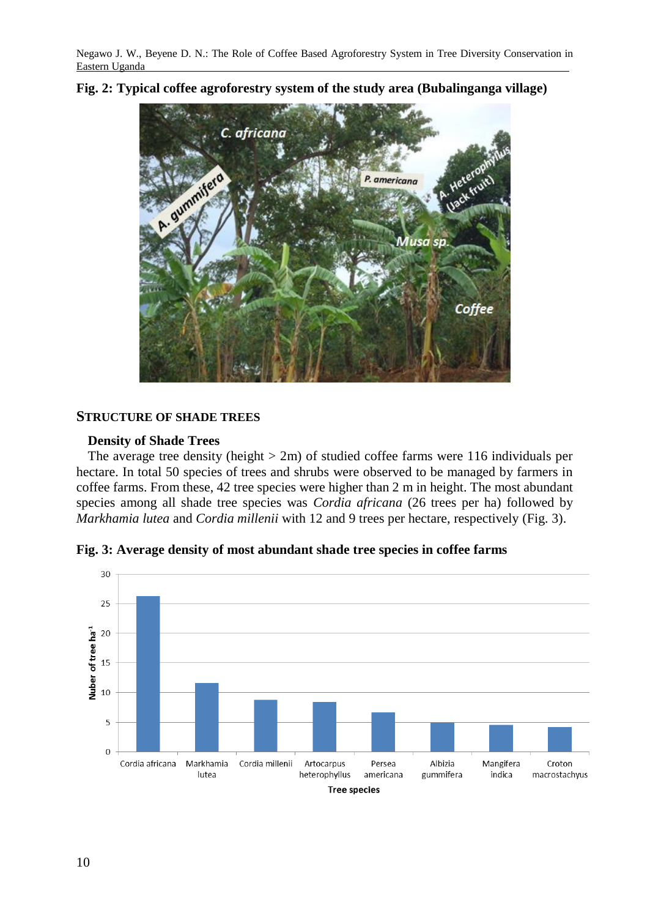### **Fig. 2: Typical coffee agroforestry system of the study area (Bubalinganga village)**



### **STRUCTURE OF SHADE TREES**

### **Density of Shade Trees**

The average tree density (height  $> 2m$ ) of studied coffee farms were 116 individuals per hectare. In total 50 species of trees and shrubs were observed to be managed by farmers in coffee farms. From these, 42 tree species were higher than 2 m in height. The most abundant species among all shade tree species was *Cordia africana* (26 trees per ha) followed by *Markhamia lutea* and *Cordia millenii* with 12 and 9 trees per hectare, respectively (Fig. 3).



**Fig. 3: Average density of most abundant shade tree species in coffee farms**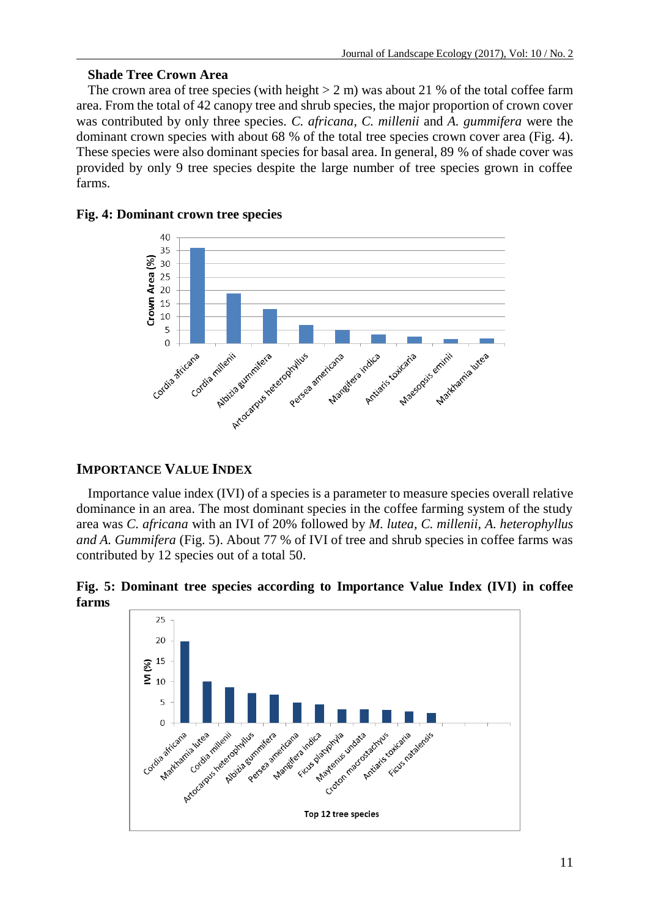## **Shade Tree Crown Area**

The crown area of tree species (with height  $> 2$  m) was about 21 % of the total coffee farm area. From the total of 42 canopy tree and shrub species, the major proportion of crown cover was contributed by only three species. *C. africana*, *C. millenii* and *A. gummifera* were the dominant crown species with about 68 % of the total tree species crown cover area (Fig. 4). These species were also dominant species for basal area. In general, 89 % of shade cover was provided by only 9 tree species despite the large number of tree species grown in coffee farms.



## **Fig. 4: Dominant crown tree species**

# **IMPORTANCE VALUE INDEX**

Importance value index (IVI) of a species is a parameter to measure species overall relative dominance in an area. The most dominant species in the coffee farming system of the study area was *C. africana* with an IVI of 20% followed by *M. lutea, C. millenii, A. heterophyllus and A. Gummifera* (Fig. 5). About 77 % of IVI of tree and shrub species in coffee farms was contributed by 12 species out of a total 50.

**Fig. 5: Dominant tree species according to Importance Value Index (IVI) in coffee farms**

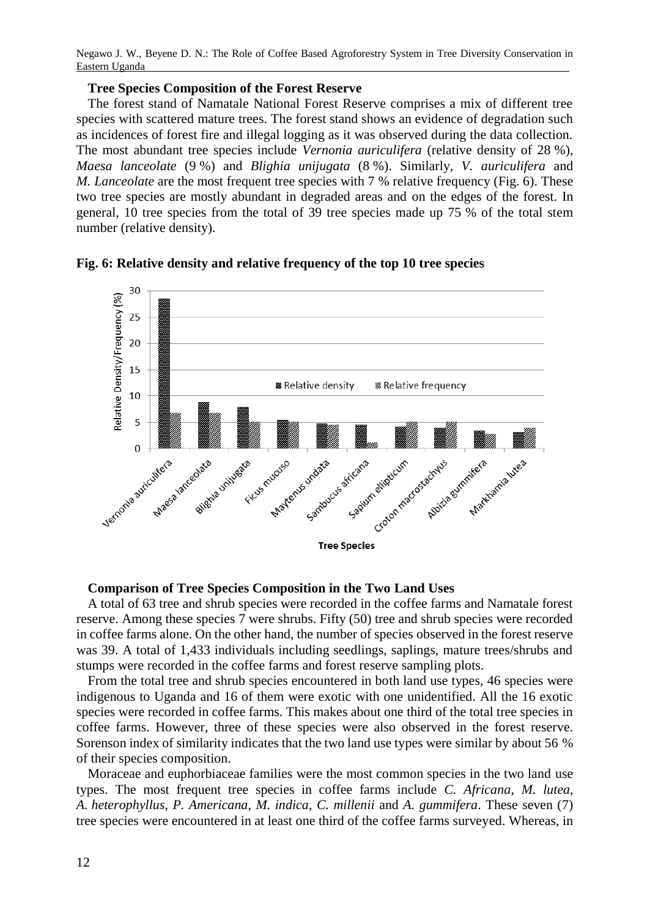### **Tree Species Composition of the Forest Reserve**

The forest stand of Namatale National Forest Reserve comprises a mix of different tree species with scattered mature trees. The forest stand shows an evidence of degradation such as incidences of forest fire and illegal logging as it was observed during the data collection. The most abundant tree species include *Vernonia auriculifera* (relative density of 28 %), *Maesa lanceolate* (9 %) and *Blighia unijugata* (8 %). Similarly*, V. auriculifera* and *M. Lanceolate* are the most frequent tree species with 7 % relative frequency (Fig. 6). These two tree species are mostly abundant in degraded areas and on the edges of the forest. In general, 10 tree species from the total of 39 tree species made up 75 % of the total stem number (relative density).



**Fig. 6: Relative density and relative frequency of the top 10 tree species**

### **Comparison of Tree Species Composition in the Two Land Uses**

A total of 63 tree and shrub species were recorded in the coffee farms and Namatale forest reserve. Among these species 7 were shrubs. Fifty (50) tree and shrub species were recorded in coffee farms alone. On the other hand, the number of species observed in the forest reserve was 39. A total of 1,433 individuals including seedlings, saplings, mature trees/shrubs and stumps were recorded in the coffee farms and forest reserve sampling plots.

From the total tree and shrub species encountered in both land use types, 46 species were indigenous to Uganda and 16 of them were exotic with one unidentified. All the 16 exotic species were recorded in coffee farms. This makes about one third of the total tree species in coffee farms. However, three of these species were also observed in the forest reserve. Sorenson index of similarity indicates that the two land use types were similar by about 56 % of their species composition.

Moraceae and euphorbiaceae families were the most common species in the two land use types. The most frequent tree species in coffee farms include *C. Africana*, *M. lutea*, *A. heterophyllus*, *P. Americana*, *M. indica*, *C. millenii* and *A. gummifera*. These seven (7) tree species were encountered in at least one third of the coffee farms surveyed. Whereas, in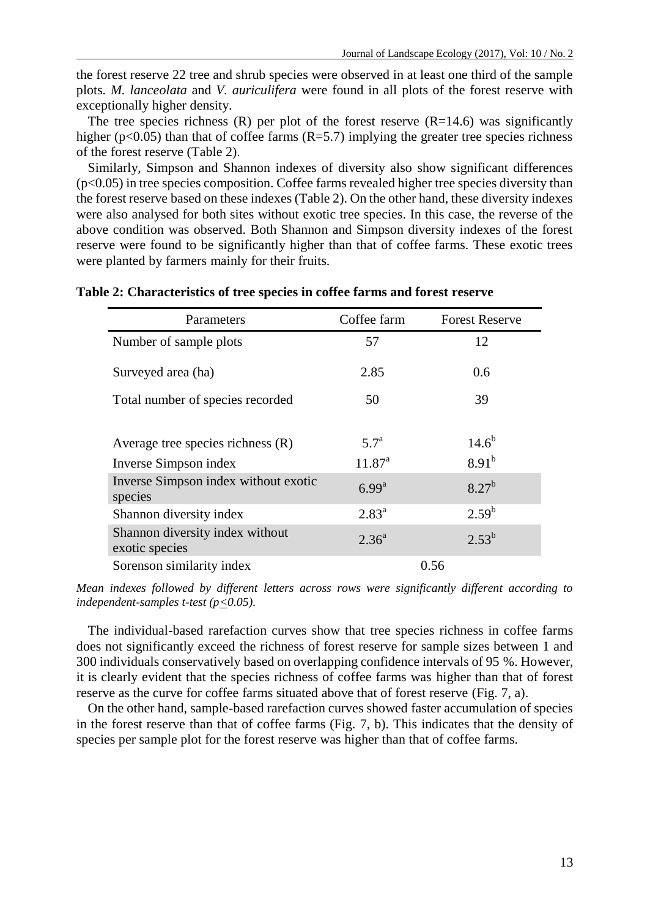the forest reserve 22 tree and shrub species were observed in at least one third of the sample plots. *M. lanceolata* and *V. auriculifera* were found in all plots of the forest reserve with exceptionally higher density.

The tree species richness  $(R)$  per plot of the forest reserve  $(R=14.6)$  was significantly higher ( $p<0.05$ ) than that of coffee farms ( $R=5.7$ ) implying the greater tree species richness of the forest reserve (Table 2).

Similarly, Simpson and Shannon indexes of diversity also show significant differences  $(p<0.05)$  in tree species composition. Coffee farms revealed higher tree species diversity than the forest reserve based on these indexes (Table 2). On the other hand, these diversity indexes were also analysed for both sites without exotic tree species. In this case, the reverse of the above condition was observed. Both Shannon and Simpson diversity indexes of the forest reserve were found to be significantly higher than that of coffee farms. These exotic trees were planted by farmers mainly for their fruits.

| Parameters                                        | Coffee farm        | <b>Forest Reserve</b> |
|---------------------------------------------------|--------------------|-----------------------|
| Number of sample plots                            | 57                 | 12                    |
| Surveyed area (ha)                                | 2.85               | $0.6^{\circ}$         |
| Total number of species recorded                  | 50                 | 39                    |
| Average tree species richness $(R)$               | 5.7 <sup>a</sup>   | $14.6^{b}$            |
| Inverse Simpson index                             | $11.87^{\text{a}}$ | $8.91^{b}$            |
| Inverse Simpson index without exotic<br>species   | 6.99 <sup>a</sup>  | $8.27^{b}$            |
| Shannon diversity index                           | $2.83^{a}$         | $2.59^{b}$            |
| Shannon diversity index without<br>exotic species | $2.36^{\circ}$     | $2.53^{b}$            |
| Sorenson similarity index                         |                    | 0.56                  |

### **Table 2: Characteristics of tree species in coffee farms and forest reserve**

*Mean indexes followed by different letters across rows were significantly different according to independent-samples t-test (p* $\leq$ 0.05).

The individual-based rarefaction curves show that tree species richness in coffee farms does not significantly exceed the richness of forest reserve for sample sizes between 1 and 300 individuals conservatively based on overlapping confidence intervals of 95 %. However, it is clearly evident that the species richness of coffee farms was higher than that of forest reserve as the curve for coffee farms situated above that of forest reserve (Fig. 7, a).

On the other hand, sample-based rarefaction curves showed faster accumulation of species in the forest reserve than that of coffee farms (Fig. 7, b). This indicates that the density of species per sample plot for the forest reserve was higher than that of coffee farms.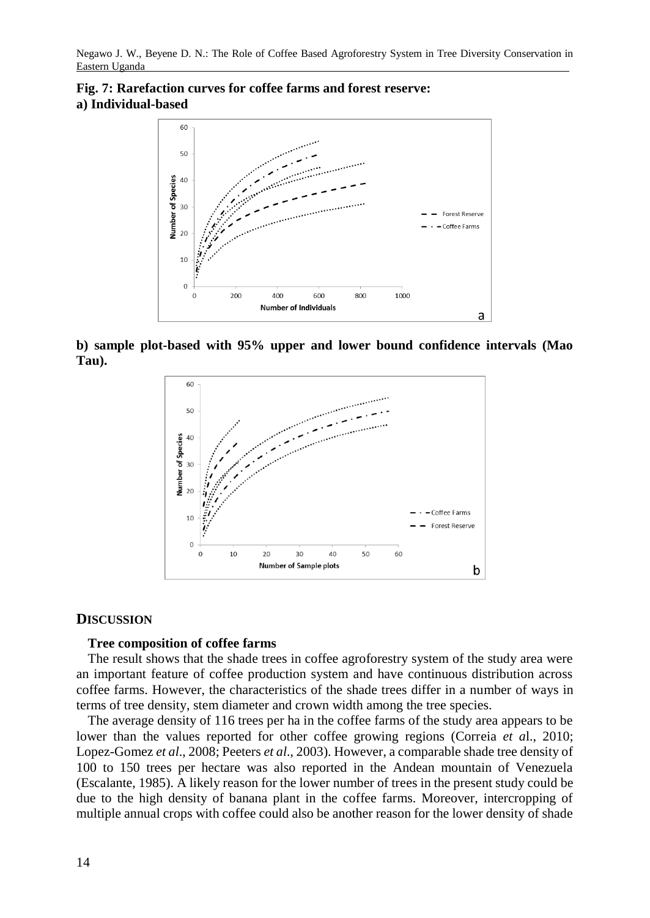



**b) sample plot-based with 95% upper and lower bound confidence intervals (Mao Tau).**



### **DISCUSSION**

#### **Tree composition of coffee farms**

The result shows that the shade trees in coffee agroforestry system of the study area were an important feature of coffee production system and have continuous distribution across coffee farms. However, the characteristics of the shade trees differ in a number of ways in terms of tree density, stem diameter and crown width among the tree species.

The average density of 116 trees per ha in the coffee farms of the study area appears to be lower than the values reported for other coffee growing regions (Correia *et a*l., 2010; Lopez-Gomez *et al*., 2008; Peeters *et al*., 2003). However, a comparable shade tree density of 100 to 150 trees per hectare was also reported in the Andean mountain of Venezuela (Escalante, 1985). A likely reason for the lower number of trees in the present study could be due to the high density of banana plant in the coffee farms. Moreover, intercropping of multiple annual crops with coffee could also be another reason for the lower density of shade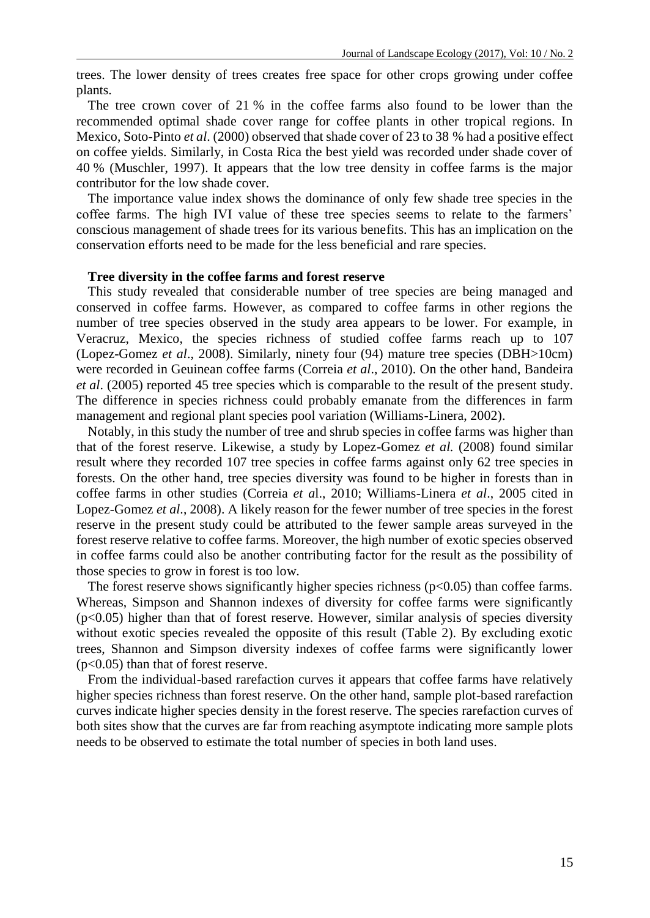trees. The lower density of trees creates free space for other crops growing under coffee plants.

The tree crown cover of 21 % in the coffee farms also found to be lower than the recommended optimal shade cover range for coffee plants in other tropical regions. In Mexico, Soto-Pinto *et al*. (2000) observed that shade cover of 23 to 38 % had a positive effect on coffee yields. Similarly, in Costa Rica the best yield was recorded under shade cover of 40 % (Muschler, 1997). It appears that the low tree density in coffee farms is the major contributor for the low shade cover.

The importance value index shows the dominance of only few shade tree species in the coffee farms. The high IVI value of these tree species seems to relate to the farmers' conscious management of shade trees for its various benefits. This has an implication on the conservation efforts need to be made for the less beneficial and rare species.

### **Tree diversity in the coffee farms and forest reserve**

This study revealed that considerable number of tree species are being managed and conserved in coffee farms. However, as compared to coffee farms in other regions the number of tree species observed in the study area appears to be lower. For example, in Veracruz, Mexico, the species richness of studied coffee farms reach up to 107 (Lopez-Gomez *et al*., 2008). Similarly, ninety four (94) mature tree species (DBH>10cm) were recorded in Geuinean coffee farms (Correia *et al*., 2010). On the other hand, Bandeira *et al*. (2005) reported 45 tree species which is comparable to the result of the present study. The difference in species richness could probably emanate from the differences in farm management and regional plant species pool variation (Williams-Linera, 2002).

Notably, in this study the number of tree and shrub species in coffee farms was higher than that of the forest reserve. Likewise, a study by Lopez-Gomez *et al.* (2008) found similar result where they recorded 107 tree species in coffee farms against only 62 tree species in forests. On the other hand, tree species diversity was found to be higher in forests than in coffee farms in other studies (Correia *et a*l., 2010; Williams-Linera *et al*., 2005 cited in Lopez-Gomez *et al*., 2008). A likely reason for the fewer number of tree species in the forest reserve in the present study could be attributed to the fewer sample areas surveyed in the forest reserve relative to coffee farms. Moreover, the high number of exotic species observed in coffee farms could also be another contributing factor for the result as the possibility of those species to grow in forest is too low.

The forest reserve shows significantly higher species richness  $(p<0.05)$  than coffee farms. Whereas, Simpson and Shannon indexes of diversity for coffee farms were significantly (p<0.05) higher than that of forest reserve. However, similar analysis of species diversity without exotic species revealed the opposite of this result (Table 2). By excluding exotic trees, Shannon and Simpson diversity indexes of coffee farms were significantly lower  $(p<0.05)$  than that of forest reserve.

From the individual-based rarefaction curves it appears that coffee farms have relatively higher species richness than forest reserve. On the other hand, sample plot-based rarefaction curves indicate higher species density in the forest reserve. The species rarefaction curves of both sites show that the curves are far from reaching asymptote indicating more sample plots needs to be observed to estimate the total number of species in both land uses.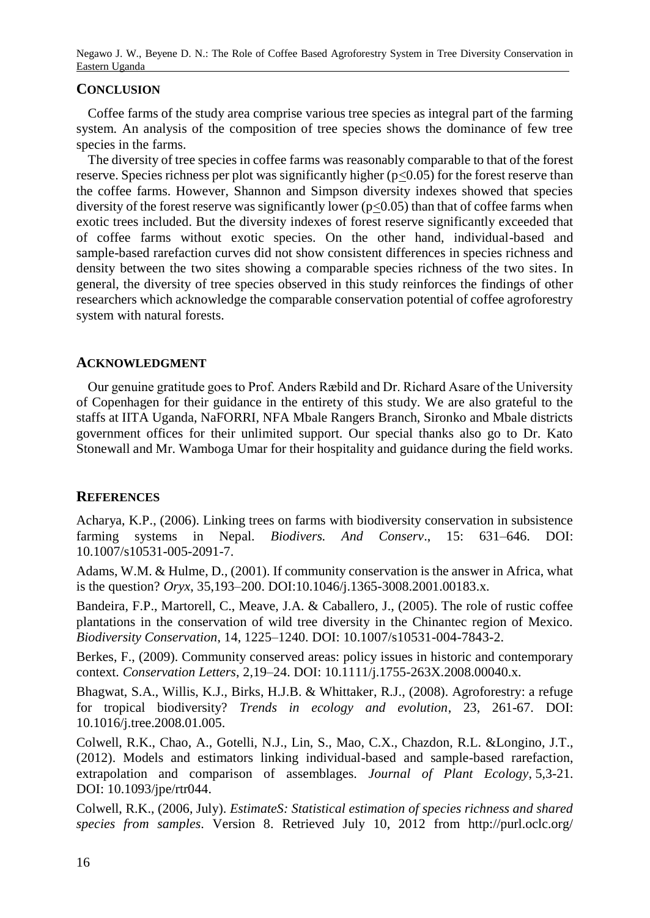### **CONCLUSION**

Coffee farms of the study area comprise various tree species as integral part of the farming system. An analysis of the composition of tree species shows the dominance of few tree species in the farms.

The diversity of tree species in coffee farms was reasonably comparable to that of the forest reserve. Species richness per plot was significantly higher ( $p \le 0.05$ ) for the forest reserve than the coffee farms. However, Shannon and Simpson diversity indexes showed that species diversity of the forest reserve was significantly lower ( $p<0.05$ ) than that of coffee farms when exotic trees included. But the diversity indexes of forest reserve significantly exceeded that of coffee farms without exotic species. On the other hand, individual-based and sample-based rarefaction curves did not show consistent differences in species richness and density between the two sites showing a comparable species richness of the two sites. In general, the diversity of tree species observed in this study reinforces the findings of other researchers which acknowledge the comparable conservation potential of coffee agroforestry system with natural forests.

## **ACKNOWLEDGMENT**

Our genuine gratitude goes to Prof. Anders Ræbild and Dr. Richard Asare of the University of Copenhagen for their guidance in the entirety of this study. We are also grateful to the staffs at IITA Uganda, NaFORRI, NFA Mbale Rangers Branch, Sironko and Mbale districts government offices for their unlimited support. Our special thanks also go to Dr. Kato Stonewall and Mr. Wamboga Umar for their hospitality and guidance during the field works.

## **REFERENCES**

Acharya, K.P., (2006). Linking trees on farms with biodiversity conservation in subsistence farming systems in Nepal. *Biodivers. And Conserv*., 15: 631–646. DOI: 10.1007/s10531-005-2091-7.

Adams, W.M. & Hulme, D., (2001). If community conservation is the answer in Africa, what is the question? *Oryx*, 35,193–200. DOI:10.1046/j.1365-3008.2001.00183.x.

Bandeira, F.P., Martorell, C., Meave, J.A. & Caballero, J., (2005). The role of rustic coffee plantations in the conservation of wild tree diversity in the Chinantec region of Mexico. *Biodiversity Conservation*, 14, 1225–1240. DOI: 10.1007/s10531-004-7843-2.

Berkes, F., (2009). Community conserved areas: policy issues in historic and contemporary context. *Conservation Letters*, 2,19–24. DOI: 10.1111/j.1755-263X.2008.00040.x.

Bhagwat, S.A., Willis, K.J., Birks, H.J.B. & Whittaker, R.J., (2008). Agroforestry: a refuge for tropical biodiversity? *Trends in ecology and evolution*, 23, 261-67. DOI: 10.1016/j.tree.2008.01.005.

Colwell, R.K., Chao, A., Gotelli, N.J., Lin, S., Mao, C.X., Chazdon, R.L. &Longino, J.T., (2012). Models and estimators linking individual-based and sample-based rarefaction, extrapolation and comparison of assemblages. *Journal of Plant Ecology*, 5,3-21. DOI: 10.1093/jpe/rtr044.

Colwell, R.K., (2006, July). *EstimateS: Statistical estimation of species richness and shared species from samples*. Version 8. Retrieved July 10, 2012 from http://purl.oclc.org/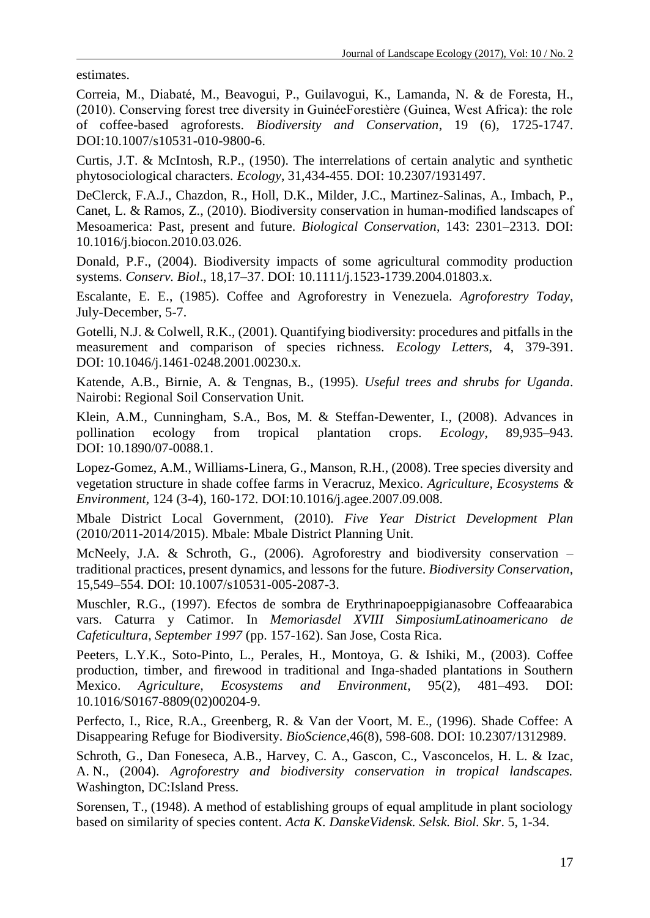estimates.

Correia, M., Diabaté, M., Beavogui, P., Guilavogui, K., Lamanda, N. & de Foresta, H., (2010). Conserving forest tree diversity in GuinéeForestière (Guinea, West Africa): the role of coffee-based agroforests. *Biodiversity and Conservation*, 19 (6), 1725-1747. DOI:10.1007/s10531-010-9800-6.

Curtis, J.T. & McIntosh, R.P., (1950). The interrelations of certain analytic and synthetic phytosociological characters. *Ecology*, 31,434-455. DOI: 10.2307/1931497.

DeClerck, F.A.J., Chazdon, R., Holl, D.K., Milder, J.C., Martinez-Salinas, A., Imbach, P., Canet, L. & Ramos, Z., (2010). Biodiversity conservation in human-modified landscapes of Mesoamerica: Past, present and future. *Biological Conservation*, 143: 2301–2313. DOI: 10.1016/j.biocon.2010.03.026.

Donald, P.F., (2004). Biodiversity impacts of some agricultural commodity production systems. *Conserv. Biol*., 18,17–37. DOI: 10.1111/j.1523-1739.2004.01803.x.

Escalante, E. E., (1985). Coffee and Agroforestry in Venezuela. *Agroforestry Today*, July-December, 5-7.

Gotelli, N.J. & Colwell, R.K., (2001). Quantifying biodiversity: procedures and pitfalls in the measurement and comparison of species richness. *Ecology Letters*, 4, 379-391. DOI: 10.1046/j.1461-0248.2001.00230.x.

Katende, A.B., Birnie, A. & Tengnas, B., (1995). *Useful trees and shrubs for Uganda*. Nairobi: Regional Soil Conservation Unit.

Klein, A.M., Cunningham, S.A., Bos, M. & Steffan-Dewenter, I., (2008). Advances in pollination ecology from tropical plantation crops. *Ecology*, 89,935–943. DOI: 10.1890/07-0088.1.

Lopez-Gomez, A.M., Williams-Linera, G., Manson, R.H., (2008). Tree species diversity and vegetation structure in shade coffee farms in Veracruz, Mexico. *Agriculture, Ecosystems & Environment,* 124 (3-4), 160-172. DOI:10.1016/j.agee.2007.09.008.

Mbale District Local Government, (2010). *Five Year District Development Plan* (2010/2011-2014/2015). Mbale: Mbale District Planning Unit.

McNeely, J.A. & Schroth, G., (2006). Agroforestry and biodiversity conservation – traditional practices, present dynamics, and lessons for the future. *Biodiversity Conservation*, 15,549–554. DOI: 10.1007/s10531-005-2087-3.

Muschler, R.G., (1997). Efectos de sombra de Erythrinapoeppigianasobre Coffeaarabica vars. Caturra y Catimor. In *Memoriasdel XVIII SimposiumLatinoamericano de Cafeticultura, September 1997* (pp. 157-162). San Jose, Costa Rica.

Peeters, L.Y.K., Soto-Pinto, L., Perales, H., Montoya, G. & Ishiki, M., (2003). Coffee production, timber, and firewood in traditional and Inga-shaded plantations in Southern Mexico. *Agriculture, Ecosystems and Environment*, 95(2), 481–493. DOI: 10.1016/S0167-8809(02)00204-9.

Perfecto, I., Rice, R.A., Greenberg, R. & Van der Voort, M. E., (1996). Shade Coffee: A Disappearing Refuge for Biodiversity. *BioScience*,46(8), 598-608. DOI: 10.2307/1312989.

Schroth, G., Dan Foneseca, A.B., Harvey, C. A., Gascon, C., Vasconcelos, H. L. & Izac, A. N., (2004). *Agroforestry and biodiversity conservation in tropical landscapes.* Washington, DC:Island Press.

Sorensen, T., (1948). A method of establishing groups of equal amplitude in plant sociology based on similarity of species content. *Acta K. DanskeVidensk. Selsk. Biol. Skr*. 5, 1-34.